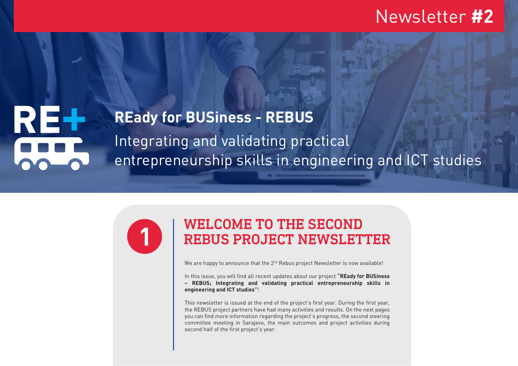## Integrating and validating practical entrepreneurship skills in engineering and ICT studies **REady for BUSiness - REBUS**



# WELCOME TO THE SECOND **1** REBUS PROJECT NEWSLETTER

We are happy to announce that the  $2^{nd}$  Rebus project Newsletter is now available!

In this issue, you will find all recent updates about our project **"REady for BUSiness – REBUS; Integrating and validating practical entrepreneurship skills in engineering and ICT studies"**!

This newsletter is issued at the end of the project's first year. During the first year, the REBUS project partners have had many activities and results. On the next pages you can find more information regarding the project's progress, the second steering committee meeting in Sarajevo, the main outcomes and project activities during second half of the first project's year.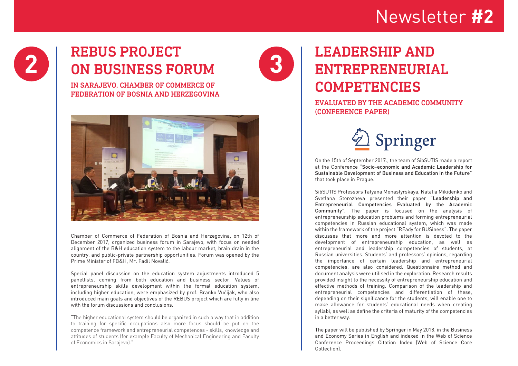# 2 **REBUS PROJECT 3**

IN SARAJEVO, CHAMBER OF COMMERCE OF FEDERATION OF BOSNIA AND HERZEGOVINA



Chamber of Commerce of Federation of Bosnia and Herzegovina, on 12th of December 2017, organized business forum in Sarajevo, with focus on needed alignment of the B&H education system to the labour market, brain drain in the country, and public-private partnership opportunities. Forum was opened by the Prime Minister of FB&H, Mr. Fadil Novalić.

Special panel discussion on the education system adjustments introduced 5 panellists, coming from both education and business sector. Values of entrepreneurship skills development within the formal education system, including higher education, were emphasized by prof. Branko Vučijak, who also introduced main goals and objectives of the REBUS project which are fully in line with the forum discussions and conclusions.

"The higher educational system should be organized in such a way that in addition to training for specific occupations also more focus should be put on the competence framework and entrepreneurial competences - skills, knowledge and attitudes of students (for example Faculty of Mechanical Engineering and Faculty of Economics in Sarajevo)."

## LEADERSHIP AND ENTREPRENEURIAL COMPETENCIES

### EVALUATED BY THE ACADEMIC COMMUNITY (CONFERENCE PAPER)



On the 15th of September 2017., the team of SibSUTIS made a report at the Conference "Socio-economic and Academic Leadership for Sustainable Development of Business and Education in the Future" that took place in Prague.

SibSUTIS Professors Tatyana Monastyrskaya, Natalia Mikidenko and Svetlana Storozheva presented their paper "Leadership and Entrepreneurial Competencies Evaluated by the Academic Community". The paper is focused on the analysis of entrepreneurship education problems and forming entrepreneurial competencies in Russian educational system, which was made within the framework of the project "REady for BUSiness". The paper discusses that more and more attention is devoted to the development of entrepreneurship education, as well as entrepreneurial and leadership competencies of students, at Russian universities. Students' and professors' opinions, regarding the importance of certain leadership and entrepreneurial competencies, are also considered. Questionnaire method and document analysis were utilised in the exploration. Research results provided insight to the necessity of entrepreneurship education and effective methods of training. Comparison of the leadership and entrepreneurial competencies and differentiation of these, depending on their significance for the students, will enable one to make allowance for students' educational needs when creating syllabi, as well as define the criteria of maturity of the competencies in a better way.

The paper will be published by Springer in May 2018. in the Business and Economy Series in English and indexed in the Web of Science Conference Proceedings Citation Index (Web of Science Core Collection).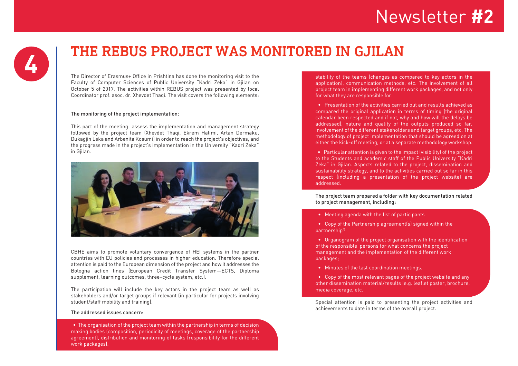### THE REBUS PROJECT WAS MONITORED IN GJILAN **4**

The Director of Erasmus+ Office in Prishtina has done the monitoring visit to the Faculty of Computer Sciences of Public University "Kadri Zeka" in Gjilan on October 5 of 2017. The activities within REBUS project was presented by local Coordinator prof. asoc. dr. Xhevdet Thaqi. The visit covers the following elements:

#### The monitoring of the project implementation:

This part of the meeting assess the implementation and management strategy followed by the project team (Xhevdet Thaqi, Ekrem Halimi, Artan Dermaku, Dukagjin Leka and Arbenita Kosumi) in order to reach the project's objectives, and the progress made in the project's implementation in the University "Kadri Zeka" in Gjilan.



CBHE aims to promote voluntary convergence of HEI systems in the partner countries with EU policies and processes in higher education. Therefore special attention is paid to the European dimension of the project and how it addresses the Bologna action lines (European Credit Transfer System—ECTS, Diploma supplement, learning outcomes, three–cycle system, etc.).

The participation will include the key actors in the project team as well as stakeholders and/or target groups if relevant (in particular for projects involving student/staff mobility and training).

#### The addressed issues concern:

 • The organisation of the project team within the partnership in terms of decision making bodies (composition, periodicity of meetings, coverage of the partnership agreement), distribution and monitoring of tasks (responsibility for the different work packages)

stability of the teams (changes as compared to key actors in the application), communication methods, etc. The involvement of all project team in implementing different work packages, and not only for what they are responsible for.

 • Presentation of the activities carried out and results achieved as compared the original application in terms of timing (the original calendar been respected and if not, why and how will the delays be addressed), nature and quality of the outputs produced so far, involvement of the different stakeholders and target groups, etc. The methodology of project implementation that should be agreed on at either the kick-off meeting, or at a separate methodology workshop.

 • Particular attention is given to the impact (visibility) of the project to the Students and academic staff of the Public University "Kadri Zeka" in Gjilan. Aspects related to the project, dissemination and sustainability strategy, and to the activities carried out so far in this respect (including a presentation of the project website) are addressed.

The project team prepared a folder with key documentation related to project management, including:

• Meeting agenda with the list of participants

 • Copy of the Partnership agreement(s) signed within the partnership?

 • Organogram of the project organisation with the identification of the responsible persons for what concerns the project management and the implementation of the different work packages;

• Minutes of the last coordination meetings.

 • Copy of the most relevant pages of the project website and any other dissemination material/results (e.g. leaflet poster, brochure, media coverage, etc.

Special attention is paid to presenting the project activities and achievements to date in terms of the overall project.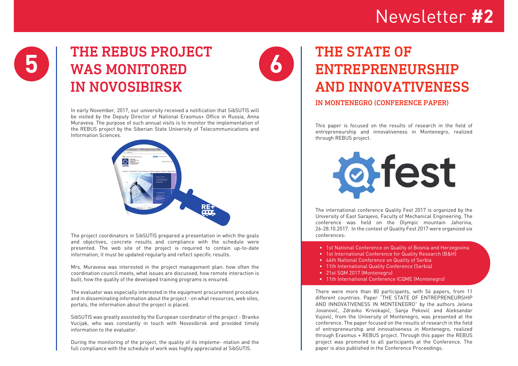## **5** THE REBUS PROJECT **6** WAS MONITORED IN NOVOSIBIRSK

In early November, 2017, our university received a notification that SibSUTIS will be visited by the Deputy Director of National Erasmus+ Office in Russia, Anna Muraveva. The purpose of such annual visits is to monitor the implementation of the REBUS project by the Siberian State University of Telecommunications and Information Sciences.



The project coordinators in SibSUTIS prepared a presentation in which the goals and objectives, concrete results and compliance with the schedule were presented. The web site of the project is required to contain up-to-date information, it must be updated regularly and reflect specific results.

Mrs. Muraveva was interested in the project management plan: how often the coordination council meets, what issues are discussed, how remote interaction is built, how the quality of the developed training programs is ensured.

The evaluator was especially interested in the equipment procurement procedure and in disseminating information about the project - on what resources, web sites, portals, the information about the project is placed.

SibSUTIS was greatly assisted by the European coordinator of the project - Branko Vucijak, who was constantly in touch with Novosibirsk and provided timely information to the evaluator.

During the monitoring of the project, the quality of its impleme- ntation and the full compliance with the schedule of work was highly appreciated at SibSUTIS.

## THE STATE OF ENTREPRENEURSHIP AND INNOVATIVENESS

### IN MONTENEGRO (CONFERENCE PAPER)

This paper is focused on the results of research in the field of entrepreneurship and innovativeness in Montenegro, realized through REBUS project.



The international conference Quality Fest 2017 is organized by the University of East Sarajevo, Faculty of Mechanical Engineering. The conference was held on the Olympic mountain Jahorina, 26-28.10.2017. In the context of Quality Fest 2017 were organized six conferences:

- 1st National Conference on Quality of Bosnia and Herzegovina
- 1st International Conference for Quality Research (B&H)
- 44th National Conference on Quality of Serbia
- 11th International Quality Conference (Serbia)
- 21st SQM 2017 (Montenegro)
- 11th International Conference ICQME (Montenegro)

There were more than 80 participants, with 54 papers, from 11 different countries. Paper "THE STATE OF ENTREPRENEURSHIP AND INNOVATIVENESS IN MONTENEGRO" by the authors Jelena Jovanović, Zdravko Krivokapić, Sanja Peković and Aleksandar Vujović, from the University of Montenegro, was presented at the conference. The paper focused on the results of research in the field of entrepreneurship and innovativeness in Montenegro, realized through Erasmus + REBUS project. Through this paper the REBUS project was promoted to all participants at the Conference. The paper is also published in the Conference Proceedings.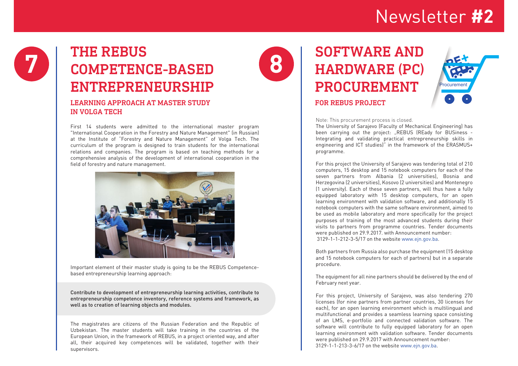## **7** THE REBUS COMPETENCE-BASED ENTREPRENEURSHIP

### LEARNING APPROACH AT MASTER STUDY IN VOLGA TECH

First 14 students were admitted to the international master program "International Cooperation in the Forestry and Nature Management" (in Russian) at the Institute of "Forestry and Nature Management" of Volga Tech. The curriculum of the program is designed to train students for the international relations and companies. The program is based on teaching methods for a comprehensive analysis of the development of international cooperation in the field of forestry and nature management.



Important element of their master study is going to be the REBUS Competencebased entrepreneurship learning approach:

Contribute to development of entrepreneurship learning activities, contribute to entrepreneurship competence inventory, reference systems and framework, as well as to creation of learning objects and modules.

The magistrates are citizens of the Russian Federation and the Republic of Uzbekistan. The master students will take training in the countries of the European Union, in the framework of REBUS, in a project oriented way, and after all, their acquired key competences will be validated, together with their supervisors.



### SOFTWARE AND HARDWARE (PC) PROCUREMENT FOR REBUS PROJECT



#### Note: This procurement process is closed.

The University of Sarajevo (Faculty of Mechanical Engineering) has been carrying out the project: "REBUS (REady for BUSiness -Integrating and validating practical entrepreneurship skills in engineering and ICT studies)" in the framework of the ERASMUS+ programme.

For this project the University of Sarajevo was tendering total of 210 computers, 15 desktop and 15 notebook computers for each of the seven partners from Albania (2 universities), Bosnia and Herzegovina (2 universities), Kosovo (2 universities) and Montenegro (1 university). Each of these seven partners, will thus have a fully equipped laboratory with 15 desktop computers, for an open learning environment with validation software, and additionally 15 notebook computers with the same software environment, aimed to be used as mobile laboratory and more specifically for the project purposes of training of the most advanced students during their visits to partners from programme countries. Tender documents were published on 29.9.2017. with Announcement number: 3129-1-1-212-3-5/17 on the website www.ejn.gov.ba.

Both partners from Russia also purchase the equipment (15 desktop and 15 notebook computers for each of partners) but in a separate procedure.

The equipment for all nine partners should be delivered by the end of February next year.

For this project, University of Sarajevo, was also tendering 270 licenses (for nine partners from partner countries, 30 licenses for each), for an open learning environment which is multilingual and multifunctional and provides a seamless learning space consisting of an LMS, e-portfolio and connected validation software. The software will contribute to fully equipped laboratory for an open learning environment with validation software. Tender documents were published on 29.9.2017 with Announcement number: 3129-1-1-213-3-6/17 on the website www.ejn.gov.ba.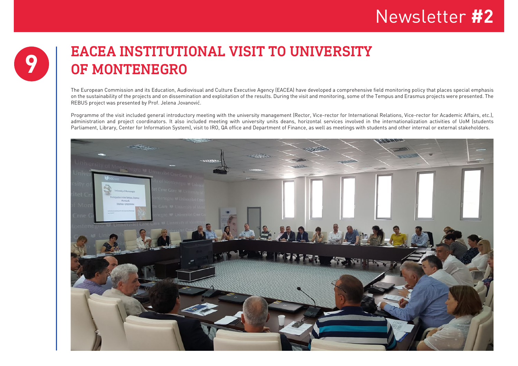## **9** EACEA INSTITUTIONAL VISIT TO UNIVERSITY OF MONTENEGRO

The European Commission and its Education, Audiovisual and Culture Executive Agency (EACEA) have developed a comprehensive field monitoring policy that places special emphasis on the sustainability of the projects and on dissemination and exploitation of the results. During the visit and monitoring, some of the Tempus and Erasmus projects were presented. The REBUS project was presented by Prof. Jelena Jovanović.

Programme of the visit included general introductory meeting with the university management (Rector, Vice-rector for International Relations, Vice-rector for Academic Affairs, etc.), administration and project coordinators. It also included meeting with university units deans, horizontal services involved in the internationalization activities of UoM (students Parliament, Library, Center for Information System), visit to IRO, QA office and Department of Finance, as well as meetings with students and other internal or external stakeholders.

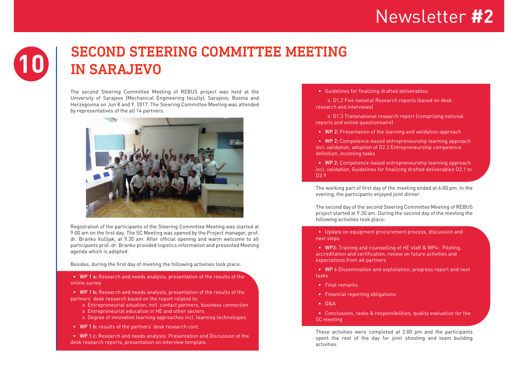## **10** SECOND STEERING COMMITTEE MEETING IN SARAJEVO

The second Steering Committee Meeting of REBUS project was held at the University of Sarajevo (Mechanical Engineering faculty), Sarajevo, Bosnia and Herzegovina on Jun 8 and 9, 2017. The Steering Committee Meeting was attended by representatives of the all 14 partners.



Registration of the participants of the Steering Committee Meeting was started at 9:00 am on the first day. The SC Meeting was opened by the Project manager, prof. dr. Branko Vučijak, at 9.30 am. After official opening and warm welcome to all participants prof. dr. Branko provided logistics information and presented Meeting agenda which is adopted.

Besides, during the first day of meeting the following activities took place:

 • WP 1 a: Research and needs analysis, presentation of the results of the online survey

 • WP 1 b: Research and needs analysis, presentation of the results of the partners' desk research based on the report related to:

- o Entrepreneurial situation, incl. contact partners, business connection o Entrepreneurial education in HE and other sectors
- o Degree of innovative learning approaches incl. learning technologies
- WP 1 b: results of the partners' desk research cont.

 • WP 1 c: Research and needs analysis: Presentation and Discussion of the desk research reports, presentation on interview template.

• Guidelines for finalizing drafted deliverables:

 o D1.2 Five national Research reports (based on desk research and interviews)

 o D1.3 Transnational research report (comprising national reports and online questionnaire)

• WP 2: Presentation of the learning and validation approach

 • WP 2: Competence-based entrepreneurship learning approach incl. validation, adoption of D2.3 Entrepreneurship competence definition, incoming tasks

 • WP 2: Competence-based entrepreneurship learning approach incl. validation, Guidelines for finalizing drafted deliverables D2.1 to D2.9

The working part of first day of the meeting ended at 6:00 pm. In the evening, the participants enjoyed joint dinner.

The second day of the second Steering Committee Meeting of REBUS project started at 9:30 am. During the second day of the meeting the following activities took place:

 • Update on equipment procurement process, discussion and next steps

 • WP3: Training and counselling of HE staff & WP4: Piloting, accreditation and certification, review on future activities and expectations from all partners

 • WP 6 Dissemination and exploitation, progress report and next tasks

- Final remarks
- Financial reporting obligations
- $\bullet$   $\Omega$   $\Delta$
- Conclusions, tasks & responsibilities, quality evaluation for the **SC** meeting

These activities were completed at 2:00 pm and the participants spent the rest of the day for joint shooting and team building activities.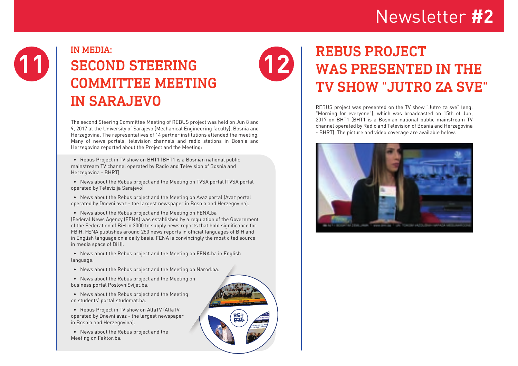

## IN MEDIA: SECOND STEERING COMMITTEE MEETING IN SARAJEVO

The second Steering Committee Meeting of REBUS project was held on Jun 8 and 9, 2017 at the University of Sarajevo (Mechanical Engineering faculty), Bosnia and Herzegovina. The representatives of 14 partner institutions attended the meeting. Many of news portals, television channels and radio stations in Bosnia and Herzegovina reported about the Project and the Meeting:

 • Rebus Project in TV show on BHT1 (BHT1 is a Bosnian national public mainstream TV channel operated by Radio and Television of Bosnia and Herzegovina - BHRT)

 • News about the Rebus project and the Meeting on TVSA portal (TVSA portal operated by Televizija Sarajevo)

 • News about the Rebus project and the Meeting on Avaz portal (Avaz portal operated by Dnevni avaz - the largest newspaper in Bosnia and Herzegovina).

 • News about the Rebus project and the Meeting on FENA.ba (Federal News Agency (FENA) was established by a regulation of the Government of the Federation of BiH in 2000 to supply news reports that hold significance for FBiH. FENA publishes around 250 news reports in official languages of BiH and in English language on a daily basis. FENA is convincingly the most cited source in media space of BiH).

 • News about the Rebus project and the Meeting on FENA.ba in English language.

- News about the Rebus project and the Meeting on Narod.ba.
- News about the Rebus project and the Meeting on business portal PoslovniSvijet.ba.

 • News about the Rebus project and the Meeting on students' portal studomat.ba.

 • Rebus Project in TV show on AlfaTV (AlfaTV operated by Dnevni avaz - the largest newspaper in Bosnia and Herzegovina).

 • News about the Rebus project and the Meeting on Faktor.ba.



## **12** REBUS PROJECT<br>
WAS PRESENTED IN THE TV SHOW "JUTRO ZA SVE"

REBUS project was presented on the TV show "Jutro za sve" (eng. "Morning for everyone"), which was broadcasted on 15th of Jun, 2017 on BHT1 (BHT1 is a Bosnian national public mainstream TV channel operated by Radio and Television of Bosnia and Herzegovina - BHRT). The picture and video coverage are available below.

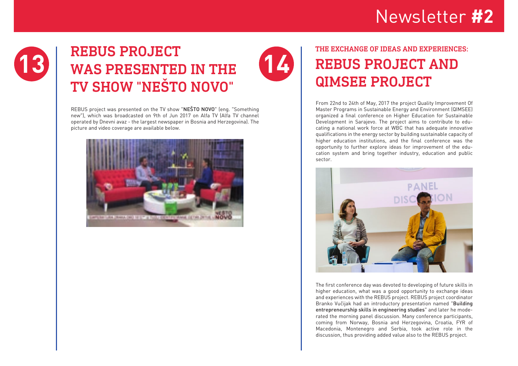

## **13** REBUS PROJECT WAS PRESENTED IN THE TV SHOW "NEŠTO NOVO"

REBUS project was presented on the TV show "NEŠTO NOVO" (eng. "Something new"), which was broadcasted on 9th of Jun 2017 on Alfa TV (Alfa TV channel operated by Dnevni avaz - the largest newspaper in Bosnia and Herzegovina). The picture and video coverage are available below.



### THE EXCHANGE OF IDEAS AND EXPERIENCES: REBUS PROJECT AND QIMSEE PROJECT

**14**

From 22nd to 24th of May, 2017 the project Quality Improvement Of Master Programs in Sustainable Energy and Environment (QIMSEE) organized a final conference on Higher Education for Sustainable Development in Sarajevo. The project aims to contribute to educating a national work force at WBC that has adequate innovative qualifications in the energy sector by building sustainable capacity of higher education institutions, and the final conference was the opportunity to further explore ideas for improvement of the education system and bring together industry, education and public sector.



The first conference day was devoted to developing of future skills in higher education, what was a good opportunity to exchange ideas and experiences with the REBUS project. REBUS project coordinator Branko Vučijak had an introductory presentation named "Building entrepreneurship skills in engineering studies" and later he moderated the morning panel discussion. Many conference participants, coming from Norway, Bosnia and Herzegovina, Croatia, FYR of Macedonia, Montenegro and Serbia, took active role in the discussion, thus providing added value also to the REBUS project.